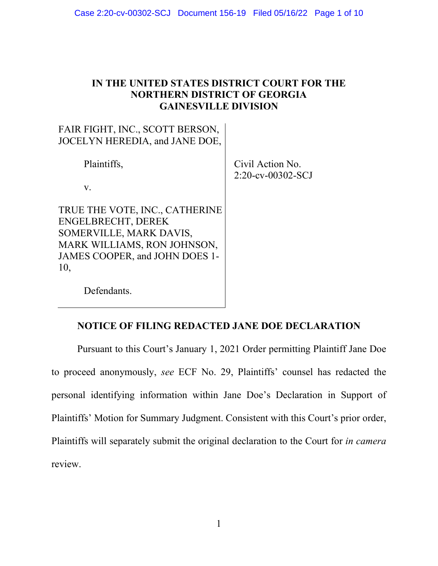## **IN THE UNITED STATES DISTRICT COURT FOR THE NORTHERN DISTRICT OF GEORGIA GAINESVILLE DIVISION**

| FAIR FIGHT, INC., SCOTT BERSON,<br>JOCELYN HEREDIA, and JANE DOE,                                                                                       |                                          |
|---------------------------------------------------------------------------------------------------------------------------------------------------------|------------------------------------------|
| Plaintiffs,                                                                                                                                             | Civil Action No.<br>$2:20$ -cv-00302-SCJ |
| V.                                                                                                                                                      |                                          |
| TRUE THE VOTE, INC., CATHERINE<br>ENGELBRECHT, DEREK<br>SOMERVILLE, MARK DAVIS,<br>MARK WILLIAMS, RON JOHNSON,<br>JAMES COOPER, and JOHN DOES 1-<br>10, |                                          |
| Defendants.                                                                                                                                             |                                          |

## **NOTICE OF FILING REDACTED JANE DOE DECLARATION**

Pursuant to this Court's January 1, 2021 Order permitting Plaintiff Jane Doe to proceed anonymously, *see* ECF No. 29, Plaintiffs' counsel has redacted the personal identifying information within Jane Doe's Declaration in Support of Plaintiffs' Motion for Summary Judgment. Consistent with this Court's prior order, Plaintiffs will separately submit the original declaration to the Court for *in camera* review.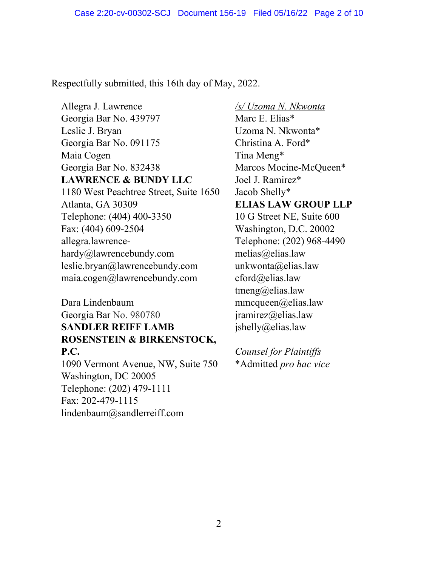Respectfully submitted, this 16th day of May, 2022.

Allegra J. Lawrence Georgia Bar No. 439797 Leslie J. Bryan Georgia Bar No. 091175 Maia Cogen Georgia Bar No. 832438 **LAWRENCE & BUNDY LLC** 1180 West Peachtree Street, Suite 1650 Atlanta, GA 30309 Telephone: (404) 400-3350 Fax: (404) 609-2504 allegra.lawrencehardy@lawrencebundy.com leslie.bryan@lawrencebundy.com maia.cogen@lawrencebundy.com

## Dara Lindenbaum Georgia Bar No. 980780 **SANDLER REIFF LAMB ROSENSTEIN & BIRKENSTOCK, P.C.**

1090 Vermont Avenue, NW, Suite 750 Washington, DC 20005 Telephone: (202) 479-1111 Fax: 202-479-1115 lindenbaum@sandlerreiff.com

*/s/ Uzoma N. Nkwonta*

Marc E. Elias\* Uzoma N. Nkwonta\* Christina A. Ford\* Tina Meng\* Marcos Mocine-McQueen\* Joel J. Ramirez\* Jacob Shelly\* **ELIAS LAW GROUP LLP** 10 G Street NE, Suite 600 Washington, D.C. 20002 Telephone: (202) 968-4490 melias@elias.law unkwonta@elias.law cford@elias.law tmeng@elias.law mmcqueen@elias.law jramirez@elias.law jshelly@elias.law

*Counsel for Plaintiffs* \*Admitted *pro hac vice*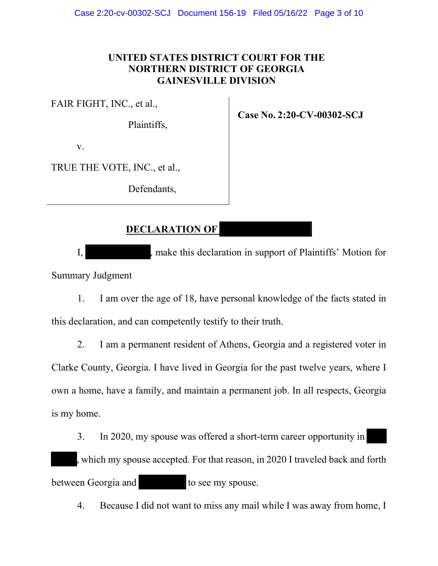## **UNITED STATES DISTRICT COURT FOR THE NORTHERN DISTRICT OF GEORGIA GAINESVILLE DIVISION**

FAIR FIGHT, INC., et al., 

Plaintiffs, 

**Case No. 2:20-CV-00302-SCJ**

v. 

TRUE THE VOTE, INC., et al., 

Defendants, 

## **DECLARATION OF**

I, Susan Report in support of Plaintiffs' Motion for Summary Judgment

1. I am over the age of 18, have personal knowledge of the facts stated in this declaration, and can competently testify to their truth.

2. I am a permanent resident of Athens, Georgia and a registered voter in Clarke County, Georgia. I have lived in Georgia for the past twelve years, where I own a home, have a family, and maintain a permanent job. In all respects, Georgia is my home.

3. In 2020, my spouse was offered a short-term career opportunity in which my spouse accepted. For that reason, in 2020 I traveled back and forth between Georgia and  $\qquad \qquad$  to see my spouse.

4. Because I did not want to miss any mail while I was away from home, I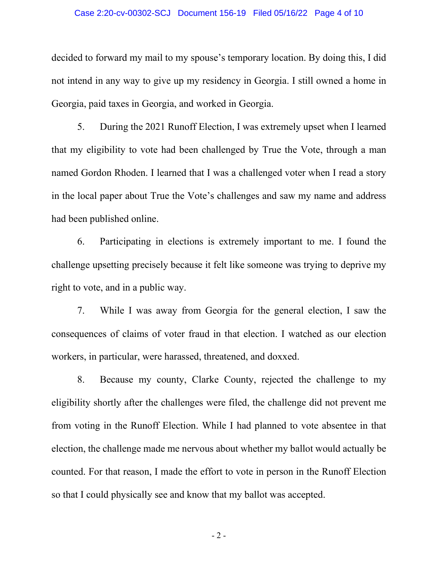#### Case 2:20-cv-00302-SCJ Document 156-19 Filed 05/16/22 Page 4 of 10

decided to forward my mail to my spouse's temporary location. By doing this, I did not intend in any way to give up my residency in Georgia. I still owned a home in Georgia, paid taxes in Georgia, and worked in Georgia.

5. During the 2021 Runoff Election, I was extremely upset when I learned that my eligibility to vote had been challenged by True the Vote, through a man named Gordon Rhoden. I learned that I was a challenged voter when I read a story in the local paper about True the Vote's challenges and saw my name and address had been published online.

6. Participating in elections is extremely important to me. I found the challenge upsetting precisely because it felt like someone was trying to deprive my right to vote, and in a public way.

7. While I was away from Georgia for the general election, I saw the consequences of claims of voter fraud in that election. I watched as our election workers, in particular, were harassed, threatened, and doxxed.

8. Because my county, Clarke County, rejected the challenge to my eligibility shortly after the challenges were filed, the challenge did not prevent me from voting in the Runoff Election. While I had planned to vote absentee in that election, the challenge made me nervous about whether my ballot would actually be counted. For that reason, I made the effort to vote in person in the Runoff Election so that I could physically see and know that my ballot was accepted.

 $-2-$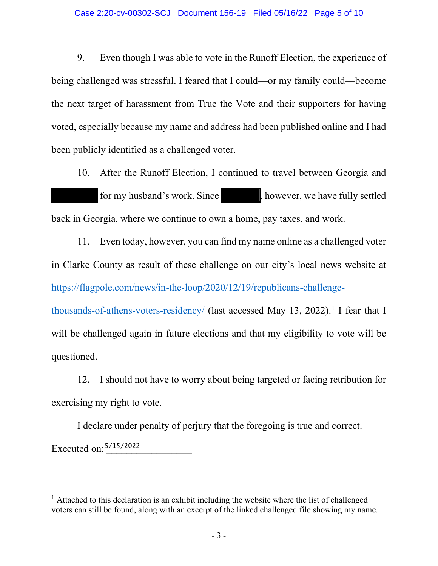#### Case 2:20-cv-00302-SCJ Document 156-19 Filed 05/16/22 Page 5 of 10

9. Even though I was able to vote in the Runoff Election, the experience of being challenged was stressful. I feared that I could—or my family could—become the next target of harassment from True the Vote and their supporters for having voted, especially because my name and address had been published online and I had been publicly identified as a challenged voter.

10. After the Runoff Election, I continued to travel between Georgia and for my husband's work. Since however, we have fully settled back in Georgia, where we continue to own a home, pay taxes, and work.

11. Even today, however, you can find my name online as a challenged voter in Clarke County as result of these challenge on our city's local news website at [https://flagpole.com/news/in-the-loop/2020/12/19/republicans-challenge](https://flagpole.com/news/in-the-loop/2020/12/19/republicans-challenge-thousands-of-athens-voters-residency/)[thousands-of-athens-voters-residency/](https://flagpole.com/news/in-the-loop/2020/12/19/republicans-challenge-thousands-of-athens-voters-residency/) (last accessed May [1](#page-4-0)3, 2022).<sup>1</sup> I fear that I will be challenged again in future elections and that my eligibility to vote will be questioned.

12. I should not have to worry about being targeted or facing retribution for exercising my right to vote.

I declare under penalty of perjury that the foregoing is true and correct. Executed on:  $\frac{5/15/2022}{2}$ 

<span id="page-4-0"></span><sup>&</sup>lt;sup>1</sup> Attached to this declaration is an exhibit including the website where the list of challenged voters can still be found, along with an excerpt of the linked challenged file showing my name.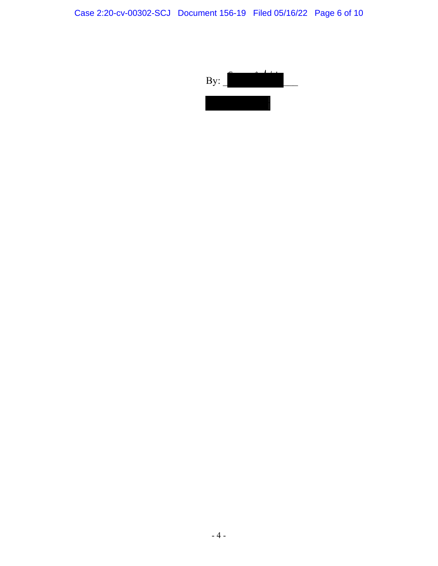Case 2:20-cv-00302-SCJ Document 156-19 Filed 05/16/22 Page 6 of 10

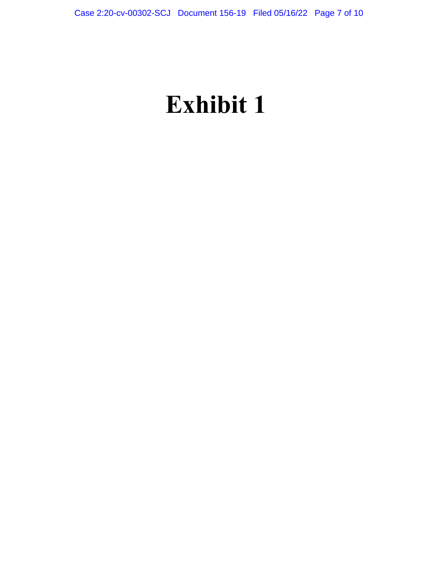# **Exhibit 1**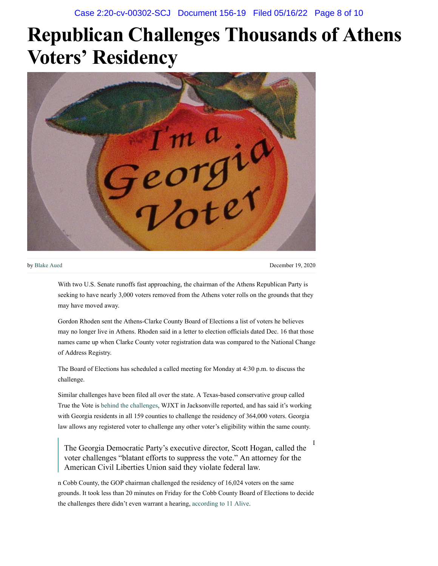## **Republican Challenges Thousands of Athens Voters' Residency**



by [Blake Aued](https://flagpole.com/author/blakeaued/) December 19, 2020

I

With two U.S. Senate runoffs fast approaching, the chairman of the Athens Republican Party is seeking to have nearly 3,000 voters removed from the Athens voter rolls on the grounds that they may have moved away.

Gordon Rhoden sent the Athens-Clarke County Board of Elections a list of voters he believes may no longer live in Athens. Rhoden said in a letter to election officials dated Dec. 16 that those names came up when Clarke County voter registration data was compared to the National Change of Address Registry.

The Board of Elections has scheduled a called meeting for Monday at 4:30 p.m. to discuss the challenge.

Similar challenges have been filed all over the state. A Texas-based conservative group called True the Vote is [behind the challenges,](https://www.news4jax.com/news/georgia/2020/12/19/group-says-its-challenging-residency-of-364k-georgia-voters/) WJXT in Jacksonville reported, and has said it's working with Georgia residents in all 159 counties to challenge the residency of 364,000 voters. Georgia law allows any registered voter to challenge any other voter's eligibility within the same county.

The Georgia Democratic Party's executive director, Scott Hogan, called the voter challenges "blatant efforts to suppress the vote." An attorney for the American Civil Liberties Union said they violate federal law.

n Cobb County, the GOP chairman challenged the residency of 16,024 voters on the same grounds. It took less than 20 minutes on Friday for the Cobb County Board of Elections to decide the challenges there didn't even warrant a hearing, [according to 11 Alive](https://www.11alive.com/article/news/politics/elections/cobb-county-voter-challenge-details/85-3d7ff8c2-5e76-423d-8a65-3bb78ce10d82).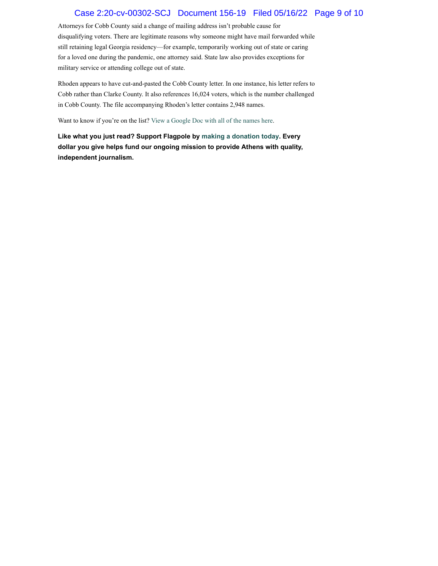#### Case 2:20-cv-00302-SCJ Document 156-19 Filed 05/16/22 Page 9 of 10

Attorneys for Cobb County said a change of mailing address isn't probable cause for disqualifying voters. There are legitimate reasons why someone might have mail forwarded while still retaining legal Georgia residency—for example, temporarily working out of state or caring for a loved one during the pandemic, one attorney said. State law also provides exceptions for military service or attending college out of state.

Rhoden appears to have cut-and-pasted the Cobb County letter. In one instance, his letter refers to Cobb rather than Clarke County. It also references 16,024 voters, which is the number challenged in Cobb County. The file accompanying Rhoden's letter contains 2,948 names.

Want to know if you're on the list? [View a Google Doc with all of the names here](https://drive.google.com/file/d/1fxy8ta4puWx06CcrOetyPm0m4kOsoRy_/view?usp=sharing).

**Like what you just read? Support Flagpole by [making a donation today](https://flagpole.com/donations/). Every dollar you give helps fund our ongoing mission to provide Athens with quality, independent journalism.**